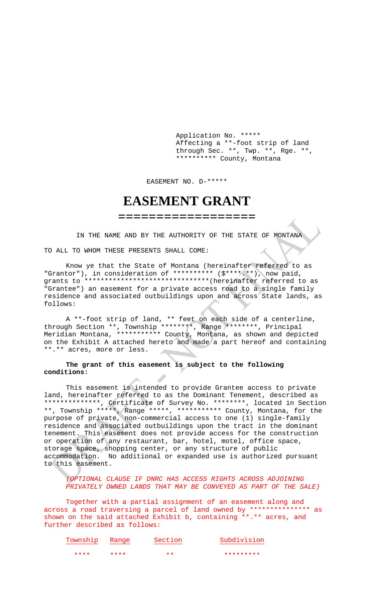Application No. \*\*\*\*\* Affecting a \*\*-foot strip of land through Sec. \*\*, Twp. \*\*, Rge. \*\*, \*\*\*\*\*\*\*\*\*\* County, Montana

EASEMENT NO. D-\*\*\*\*\*

## **EASEMENT GRANT**

**==================**

IN THE NAME AND BY THE AUTHORITY OF THE STATE OF MONTANA

TO ALL TO WHOM THESE PRESENTS SHALL COME:

Know ye that the State of Montana (hereinafter referred to as "Grantor"), in consideration of \*\*\*\*\*\*\*\*\*\* (\$\*\*\*\*.\*\*), now paid, grants to \*\*\*\*\*\*\*\*\*\*\*\*\*\*\*\*\*\*\*\*\*\*\*\*\*\*\*\*\*\*\*(hereinafter referred to as "Grantee") an easement for a private access road to a single family residence and associated outbuildings upon and across State lands, as follows:

A \*\*-foot strip of land, \*\* feet on each side of a centerline, through Section \*\*, Township \*\*\*\*\*\*\*\*, Range \*\*\*\*\*\*\*\*, Principal Meridian Montana, \*\*\*\*\*\*\*\*\*\*\* County, Montana, as shown and depicted on the Exhibit A attached hereto and made a part hereof and containing \*\*.\*\* acres, more or less.

## **The grant of this easement is subject to the following conditions:**

This easement is intended to provide Grantee access to private land, hereinafter referred to as the Dominant Tenement, described as \*\*\*\*\*\*\*\*\*\*\*\*\*\*, Certificate of Survey No. \*\*\*\*\*\*\*\*, located in Section \*\*, Township \*\*\*\*\*, Range \*\*\*\*\*, \*\*\*\*\*\*\*\*\*\*\* County, Montana, for the purpose of private, non-commercial access to one (1) single-family residence and associated outbuildings upon the tract in the dominant tenement. This easement does not provide access for the construction or operation of any restaurant, bar, hotel, motel, office space, storage space, shopping center, or any structure of public accommodation. No additional or expanded use is authorized pursuant to this easement.

*(OPTIONAL CLAUSE IF DNRC HAS ACCESS RIGHTS ACROSS ADJOINING PRIVATELY OWNED LANDS THAT MAY BE CONVEYED AS PART OF THE SALE)*

Together with a partial assignment of an easement along and across a road traversing a parcel of land owned by \*\*\*\*\*\*\*\*\*\*\*\*\*\*\* as shown on the said attached Exhibit b, containing \*\*.\*\* acres, and further described as follows:

| Township | Range | Section | Subdivision |
|----------|-------|---------|-------------|
| ****     | ****  | $+ +$   | *********   |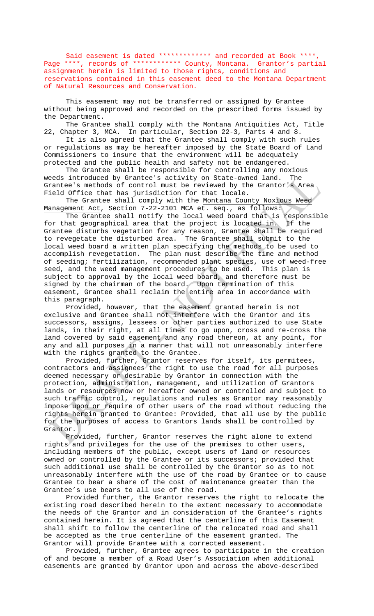Said easement is dated \*\*\*\*\*\*\*\*\*\*\*\*\* and recorded at Book \*\*\*\*, Page \*\*\*\*, records of \*\*\*\*\*\*\*\*\*\*\*\* County, Montana. Grantor's partial assignment herein is limited to those rights, conditions and reservations contained in this easement deed to the Montana Department of Natural Resources and Conservation.

This easement may not be transferred or assigned by Grantee without being approved and recorded on the prescribed forms issued by the Department.

The Grantee shall comply with the Montana Antiquities Act, Title 22, Chapter 3, MCA. In particular, Section 22-3, Parts 4 and 8.

It is also agreed that the Grantee shall comply with such rules or regulations as may be hereafter imposed by the State Board of Land Commissioners to insure that the environment will be adequately protected and the public health and safety not be endangered.

The Grantee shall be responsible for controlling any noxious weeds introduced by Grantee's activity on State-owned land. The Grantee's methods of control must be reviewed by the Grantor's Area Field Office that has jurisdiction for that locale.

The Grantee shall comply with the Montana County Noxious Weed Management Act, Section 7-22-2101 MCA et. seq., as follows:

The Grantee shall notify the local weed board that is responsible for that geographical area that the project is located in. If the Grantee disturbs vegetation for any reason, Grantee shall be required to revegetate the disturbed area. The Grantee shall submit to the local weed board a written plan specifying the methods to be used to accomplish revegetation. The plan must describe the time and method of seeding; fertilization, recommended plant species, use of weed-free seed, and the weed management procedures to be used. This plan is subject to approval by the local weed board, and therefore must be signed by the chairman of the board. Upon termination of this easement, Grantee shall reclaim the entire area in accordance with this paragraph.

Provided, however, that the easement granted herein is not exclusive and Grantee shall not interfere with the Grantor and its successors, assigns, lessees or other parties authorized to use State lands, in their right, at all times to go upon, cross and re-cross the land covered by said easement and any road thereon, at any point, for any and all purposes in a manner that will not unreasonably interfere with the rights granted to the Grantee.

Provided, further, Grantor reserves for itself, its permitees, contractors and assignees the right to use the road for all purposes deemed necessary or desirable by Grantor in connection with the protection, administration, management, and utilization of Grantors lands or resources now or hereafter owned or controlled and subject to such traffic control, regulations and rules as Grantor may reasonably impose upon or require of other users of the road without reducing the rights herein granted to Grantee: Provided, that all use by the public for the purposes of access to Grantors lands shall be controlled by Grantor.

Provided, further, Grantor reserves the right alone to extend rights and privileges for the use of the premises to other users, including members of the public, except users of land or resources owned or controlled by the Grantee or its successors; provided that such additional use shall be controlled by the Grantor so as to not unreasonably interfere with the use of the road by Grantee or to cause Grantee to bear a share of the cost of maintenance greater than the Grantee's use bears to all use of the road.

Provided further, the Grantor reserves the right to relocate the existing road described herein to the extent necessary to accommodate the needs of the Grantor and in consideration of the Grantee's rights contained herein. It is agreed that the centerline of this Easement shall shift to follow the centerline of the relocated road and shall be accepted as the true centerline of the easement granted. The Grantor will provide Grantee with a corrected easement.

Provided, further, Grantee agrees to participate in the creation of and become a member of a Road User's Association when additional easements are granted by Grantor upon and across the above-described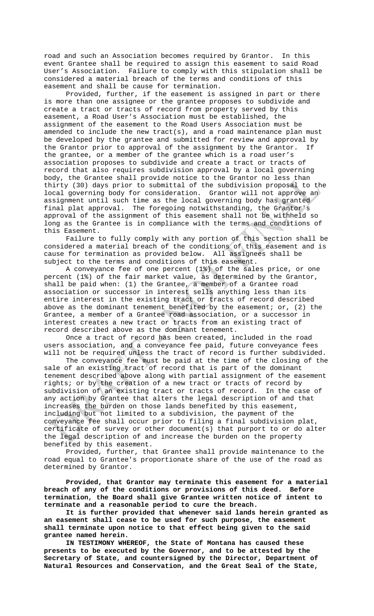road and such an Association becomes required by Grantor. In this event Grantee shall be required to assign this easement to said Road User's Association. Failure to comply with this stipulation shall be considered a material breach of the terms and conditions of this easement and shall be cause for termination.

Provided, further, if the easement is assigned in part or there is more than one assignee or the grantee proposes to subdivide and create a tract or tracts of record from property served by this easement, a Road User's Association must be established, the assignment of the easement to the Road Users Association must be amended to include the new tract(s), and a road maintenance plan must be developed by the grantee and submitted for review and approval by<br>the Grantor prior to approval of the assignment by the Grantor. If the Grantor prior to approval of the assignment by the Grantor. the grantee, or a member of the grantee which is a road user's association proposes to subdivide and create a tract or tracts of record that also requires subdivision approval by a local governing body, the Grantee shall provide notice to the Grantor no less than thirty (30) days prior to submittal of the subdivision proposal to the local governing body for consideration. Grantor will not approve an assignment until such time as the local governing body has granted final plat approval. The foregoing notwithstanding, the Grantor's approval of the assignment of this easement shall not be withheld so long as the Grantee is in compliance with the terms and conditions of this Easement.

Failure to fully comply with any portion of this section shall be considered a material breach of the conditions of this easement and is cause for termination as provided below. All assignees shall be subject to the terms and conditions of this easement.

A conveyance fee of one percent (1%) of the sales price, or one percent (1%) of the fair market value, as determined by the Grantor, shall be paid when: (1) the Grantee, a member of a Grantee road association or successor in interest sells anything less than its entire interest in the existing tract or tracts of record described above as the dominant tenement benefited by the easement; or, (2) the Grantee, a member of a Grantee road association, or a successor in interest creates a new tract or tracts from an existing tract of record described above as the dominant tenement.

Once a tract of record has been created, included in the road users association, and a conveyance fee paid, future conveyance fees will not be required unless the tract of record is further subdivided.

The conveyance fee must be paid at the time of the closing of the sale of an existing tract of record that is part of the dominant tenement described above along with partial assignment of the easement rights; or by the creation of a new tract or tracts of record by subdivision of an existing tract or tracts of record. In the case of any action by Grantee that alters the legal description of and that increases the burden on those lands benefited by this easement, including but not limited to a subdivision, the payment of the conveyance fee shall occur prior to filing a final subdivision plat, certificate of survey or other document(s) that purport to or do alter the legal description of and increase the burden on the property benefited by this easement.

Provided, further, that Grantee shall provide maintenance to the road equal to Grantee's proportionate share of the use of the road as determined by Grantor.

**Provided, that Grantor may terminate this easement for a material breach of any of the conditions or provisions of this deed. Before termination, the Board shall give Grantee written notice of intent to terminate and a reasonable period to cure the breach.**

**It is further provided that whenever said lands herein granted as an easement shall cease to be used for such purpose, the easement shall terminate upon notice to that effect being given to the said grantee named herein.**

**IN TESTIMONY WHEREOF, the State of Montana has caused these presents to be executed by the Governor, and to be attested by the Secretary of State, and countersigned by the Director, Department of Natural Resources and Conservation, and the Great Seal of the State,**